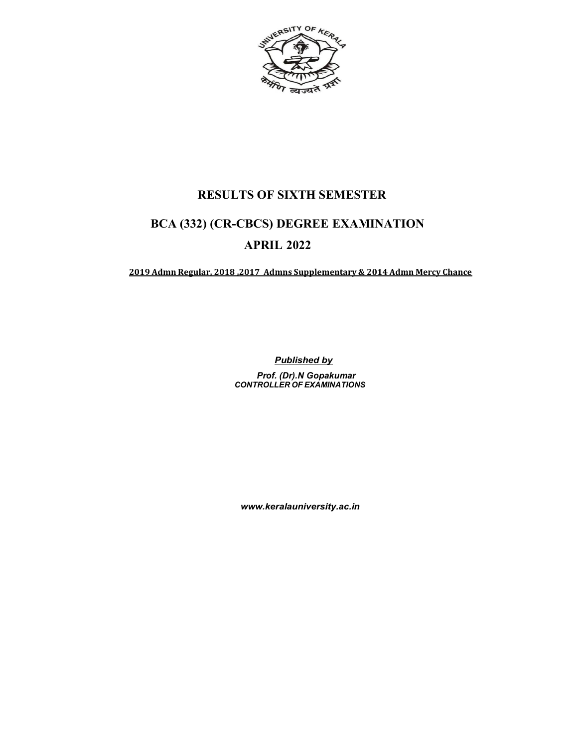

# RESULTS OF SIXTH SEMESTER

# BCA (332) (CR-CBCS) DEGREE EXAMINATION APRIL 2022

2019 Admn Regular, 2018 ,2017 Admns Supplementary & 2014 Admn Mercy Chance

**Published by** Prof. (Dr).N Gopakumar CONTROLLER OF EXAMINATIONS

www.keralauniversity.ac.in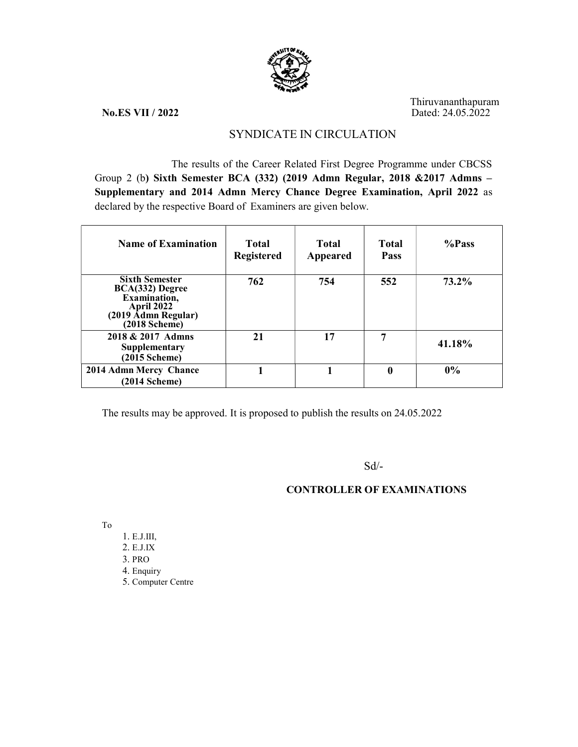

Thiruvananthapuram No.ES VII / 2022 Dated: 24.05.2022

# SYNDICATE IN CIRCULATION

The results of the Career Related First Degree Programme under CBCSS Group 2 (b) Sixth Semester BCA (332) (2019 Admn Regular, 2018 &2017 Admns – Supplementary and 2014 Admn Mercy Chance Degree Examination, April 2022 as declared by the respective Board of Examiners are given below.

| <b>Name of Examination</b>                                                                                              | Total<br><b>Registered</b> | Total<br>Appeared | Total<br><b>Pass</b> | %Pass    |
|-------------------------------------------------------------------------------------------------------------------------|----------------------------|-------------------|----------------------|----------|
| <b>Sixth Semester</b><br>BCA(332) Degree<br>Examination,<br><b>April 2022</b><br>(2019 Admn Regular)<br>$(2018$ Scheme) | 762                        | 754               | 552                  | $73.2\%$ |
| 2018 & 2017 Admns<br>Supplementary<br>$(2015$ Scheme)                                                                   | 21                         | 17                | 7                    | 41.18%   |
| 2014 Admn Mercy Chance<br>$(2014 \text{ Scheme})$                                                                       |                            |                   | 0                    | 0%       |

The results may be approved. It is proposed to publish the results on 24.05.2022

Sd/-

# CONTROLLER OF EXAMINATIONS

To

1. E.J.III, 2. E.J.IX 3. PRO 4. Enquiry 5. Computer Centre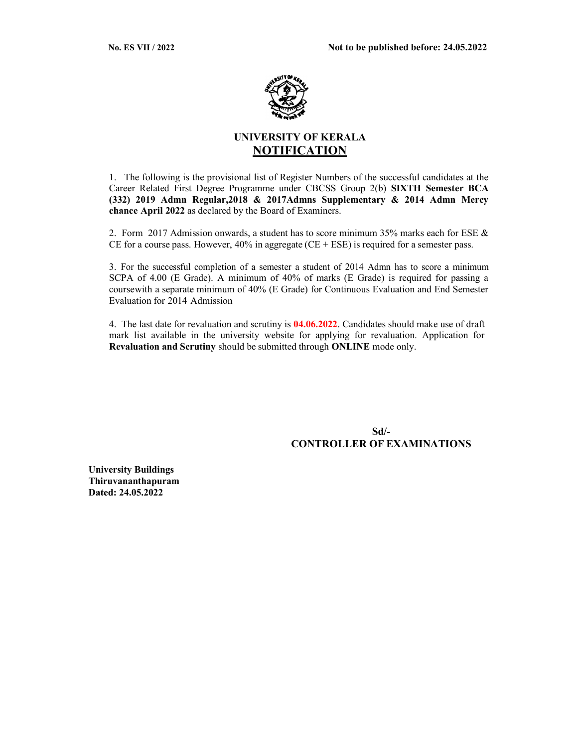

# UNIVERSITY OF KERALA **NOTIFICATION**

1. The following is the provisional list of Register Numbers of the successful candidates at the Career Related First Degree Programme under CBCSS Group 2(b) SIXTH Semester BCA (332) 2019 Admn Regular,2018 & 2017Admns Supplementary & 2014 Admn Mercy chance April 2022 as declared by the Board of Examiners.

2. Form 2017 Admission onwards, a student has to score minimum 35% marks each for ESE  $\&$ CE for a course pass. However,  $40\%$  in aggregate (CE + ESE) is required for a semester pass.

3. For the successful completion of a semester a student of 2014 Admn has to score a minimum SCPA of 4.00 (E Grade). A minimum of 40% of marks (E Grade) is required for passing a course with a separate minimum of 40% (E Grade) for Continuous Evaluation and End Semester Evaluation for 2014 Admission

4. The last date for revaluation and scrutiny is 04.06.2022. Candidates should make use of draft mark list available in the university website for applying for revaluation. Application for Revaluation and Scrutiny should be submitted through ONLINE mode only.

> Sd/- CONTROLLER OF EXAMINATIONS

University Buildings Thiruvananthapuram Dated: 24.05.2022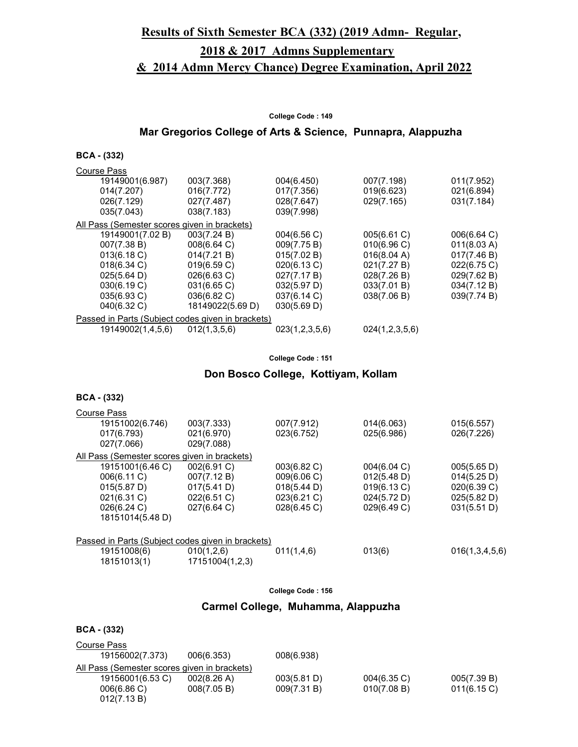# Results of Sixth Semester BCA (332) (2019 Admn- Regular,

# 2018 & 2017 Admns Supplementary

# & 2014 Admn Mercy Chance) Degree Examination, April 2022

#### College Code : 149

# Mar Gregorios College of Arts & Science, Punnapra, Alappuzha

#### BCA - (332)

| <b>Course Pass</b>                                |                  |                       |                |             |  |
|---------------------------------------------------|------------------|-----------------------|----------------|-------------|--|
| 19149001(6.987)                                   | 003(7.368)       | 004(6.450)            | 007(7.198)     | 011(7.952)  |  |
| 014(7.207)                                        | 016(7.772)       | 017(7.356)            | 019(6.623)     | 021(6.894)  |  |
| 026(7.129)                                        | 027(7.487)       | 028(7.647)            | 029(7.165)     | 031(7.184)  |  |
| 035(7.043)                                        | 038(7.183)       | 039(7.998)            |                |             |  |
| All Pass (Semester scores given in brackets)      |                  |                       |                |             |  |
| 19149001(7.02 B)                                  | 003(7.24 B)      | $004(6.56 \text{ C})$ | 005(6.61 C)    | 006(6.64)   |  |
| 007(7.38 B)                                       | 008(6.64 C)      | 009(7.75 B)           | 010(6.96)      | 011(8.03 A) |  |
| 013(6.18 C)                                       | 014(7.21 B)      | 015(7.02 B)           | 016(8.04 A)    | 017(7.46 B) |  |
| $018(6.34)$ C)                                    | 019(6.59 C)      | 020(6.13 C)           | 021(7.27 B)    | 022(6.75 C) |  |
| 025(5.64 D)                                       | $026(6.63)$ C)   | 027(7.17 B)           | 028(7.26 B)    | 029(7.62 B) |  |
| 030(6.19 C)                                       | 031(6.65 C)      | 032(5.97 D)           | 033(7.01 B)    | 034(7.12 B) |  |
| 035(6.93 C)                                       | 036(6.82 C)      | 037(6.14 C)           | 038(7.06 B)    | 039(7.74 B) |  |
| 040(6.32 C)                                       | 18149022(5.69 D) | 030(5.69 D)           |                |             |  |
| Passed in Parts (Subject codes given in brackets) |                  |                       |                |             |  |
| 19149002(1,4,5,6)                                 | 012(1,3,5,6)     | 023(1,2,3,5,6)        | 024(1,2,3,5,6) |             |  |

#### College Code : 151

#### Don Bosco College, Kottiyam, Kollam

#### BCA - (332)

| Course Pass                                  |                                                   |                |                |                |  |  |  |
|----------------------------------------------|---------------------------------------------------|----------------|----------------|----------------|--|--|--|
| 19151002(6.746)                              | 003(7.333)                                        | 007(7.912)     | 014(6.063)     | 015(6.557)     |  |  |  |
| 017(6.793)                                   | 021(6.970)                                        | 023(6.752)     | 025(6.986)     | 026(7.226)     |  |  |  |
| 027(7.066)                                   | 029(7.088)                                        |                |                |                |  |  |  |
| All Pass (Semester scores given in brackets) |                                                   |                |                |                |  |  |  |
| 19151001(6.46 C)                             | 002(6.91 C)                                       | 003(6.82 C)    | $004(6.04)$ C) | 005(5.65 D)    |  |  |  |
| 006(6.11 C)                                  | 007(7.12 B)                                       | 009(6.06 C)    | 012(5.48 D)    | 014(5.25 D)    |  |  |  |
| 015(5.87 D)                                  | 017(5.41 D)                                       | 018(5.44 D)    | 019(6.13 C)    | 020(6.39 C)    |  |  |  |
| 021(6.31 C)                                  | 022(6.51 C)                                       | $023(6.21)$ C) | 024(5.72 D)    | 025(5.82 D)    |  |  |  |
| 026(6.24 C)                                  | 027(6.64)                                         | 028(6.45)      | 029(6.49 C)    | 031(5.51 D)    |  |  |  |
| 18151014(5.48 D)                             |                                                   |                |                |                |  |  |  |
|                                              |                                                   |                |                |                |  |  |  |
|                                              | Passed in Parts (Subject codes given in brackets) |                |                |                |  |  |  |
| 19151008(6)                                  | 010(1,2,6)                                        | 011(1,4,6)     | 013(6)         | 016(1,3,4,5,6) |  |  |  |
| 18151013(1)                                  | 17151004(1,2,3)                                   |                |                |                |  |  |  |

#### College Code : 156

#### Carmel College, Muhamma, Alappuzha

| Course Pass                                  |                       |             |                |                |  |
|----------------------------------------------|-----------------------|-------------|----------------|----------------|--|
| 19156002(7.373)                              | 006(6.353)            | 008(6.938)  |                |                |  |
| All Pass (Semester scores given in brackets) |                       |             |                |                |  |
| 19156001(6.53 C)                             | $002(8.26 \text{ A})$ | 003(5.81 D) | $004(6.35)$ C) | 005(7.39 B)    |  |
| 006(6.86)                                    | 008(7.05 B)           | 009(7.31 B) | 010(7.08 B)    | $011(6.15)$ C) |  |
| 012(7.13 B)                                  |                       |             |                |                |  |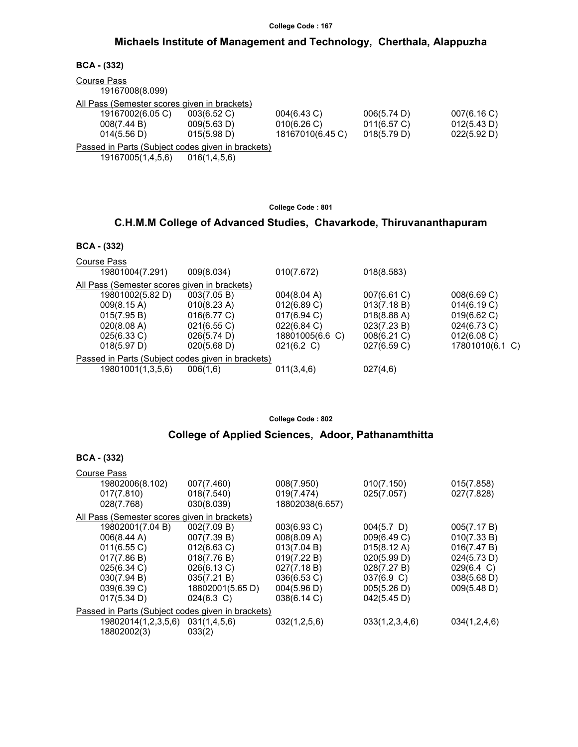### Michaels Institute of Management and Technology, Cherthala, Alappuzha

| $BCA - (332)$                                     |                 |                  |             |             |
|---------------------------------------------------|-----------------|------------------|-------------|-------------|
| <b>Course Pass</b><br>19167008(8.099)             |                 |                  |             |             |
| All Pass (Semester scores given in brackets)      |                 |                  |             |             |
| 19167002(6.05 C)                                  | 003(6.52 C)     | 004(6.43 C)      | 006(5.74 D) | 007(6.16 C) |
| 008(7.44 B)                                       | 009(5.63 D)     | 010(6.26 C)      | 011(6.57 C) | 012(5.43 D) |
| 014(5.56 D)                                       | 015(5.98 D)     | 18167010(6.45 C) | 018(5.79 D) | 022(5.92 D) |
| Passed in Parts (Subject codes given in brackets) |                 |                  |             |             |
| 19167005(1,4,5,6)                                 | 016(1, 4, 5, 6) |                  |             |             |

College Code : 801

### C.H.M.M College of Advanced Studies, Chavarkode, Thiruvananthapuram

| BCA. | (332) |
|------|-------|
|------|-------|

| 009(8.034)                                        | 010(7.672)      | 018(8.583)  |                 |  |  |  |
|---------------------------------------------------|-----------------|-------------|-----------------|--|--|--|
| All Pass (Semester scores given in brackets)      |                 |             |                 |  |  |  |
| 003(7.05 B)                                       | 004(8.04 A)     | 007(6.61 C) | 008(6.69 C)     |  |  |  |
| 010(8.23 A)                                       | 012(6.89 C)     | 013(7.18 B) | 014(6.19 C)     |  |  |  |
| 016(6.77 C)                                       | $017(6.94)$ C)  | 018(8.88 A) | 019(6.62 C)     |  |  |  |
| 021(6.55 C)                                       | 022(6.84 C)     | 023(7.23 B) | 024(6.73 C)     |  |  |  |
| 026(5.74 D)                                       | 18801005(6.6 C) | 008(6.21 C) | 012(6.08 C)     |  |  |  |
| 020(5.68 D)                                       | 021(6.2 C)      | 027(6.59 C) | 17801010(6.1 C) |  |  |  |
| Passed in Parts (Subject codes given in brackets) |                 |             |                 |  |  |  |
| 006(1,6)                                          | 011(3,4,6)      | 027(4,6)    |                 |  |  |  |
|                                                   |                 |             |                 |  |  |  |

College Code : 802

### College of Applied Sciences, Adoor, Pathanamthitta

| <b>BCA - (332)</b>                           |                                                   |                 |                |              |  |
|----------------------------------------------|---------------------------------------------------|-----------------|----------------|--------------|--|
| Course Pass                                  |                                                   |                 |                |              |  |
| 19802006(8.102)                              | 007(7.460)                                        | 008(7.950)      | 010(7.150)     | 015(7.858)   |  |
| 017(7.810)                                   | 018(7.540)                                        | 019(7.474)      | 025(7.057)     | 027(7.828)   |  |
| 028(7.768)                                   | 030(8.039)                                        | 18802038(6.657) |                |              |  |
| All Pass (Semester scores given in brackets) |                                                   |                 |                |              |  |
| 19802001(7.04 B)                             | 002(7.09 B)                                       | 003(6.93 C)     | $004(5.7)$ D)  | 005(7.17 B)  |  |
| 006(8.44 A)                                  | 007(7.39 B)                                       | 008(8.09 A)     | 009(6.49 C)    | 010(7.33 B)  |  |
| 011(6.55 C)                                  | 012(6.63 C)                                       | 013(7.04 B)     | 015(8.12 A)    | 016(7.47 B)  |  |
| 017(7.86 B)                                  | 018(7.76 B)                                       | 019(7.22 B)     | 020(5.99 D)    | 024(5.73 D)  |  |
| 025(6.34 C)                                  | 026(6.13 C)                                       | 027(7.18 B)     | 028(7.27 B)    | 029(6.4 C)   |  |
| 030(7.94 B)                                  | 035(7.21 B)                                       | 036(6.53 C)     | 037(6.9 C)     | 038(5.68 D)  |  |
| 039(6.39 C)                                  | 18802001(5.65 D)                                  | 004(5.96 D)     | 005(5.26 D)    | 009(5.48 D)  |  |
| 017(5.34 D)                                  | $024(6.3)$ C)                                     | 038(6.14 C)     | 042(5.45 D)    |              |  |
|                                              | Passed in Parts (Subject codes given in brackets) |                 |                |              |  |
| 19802014(1,2,3,5,6)                          | 031(1,4,5,6)                                      | 032(1,2,5,6)    | 033(1,2,3,4,6) | 034(1,2,4,6) |  |
| 18802002(3)                                  | 033(2)                                            |                 |                |              |  |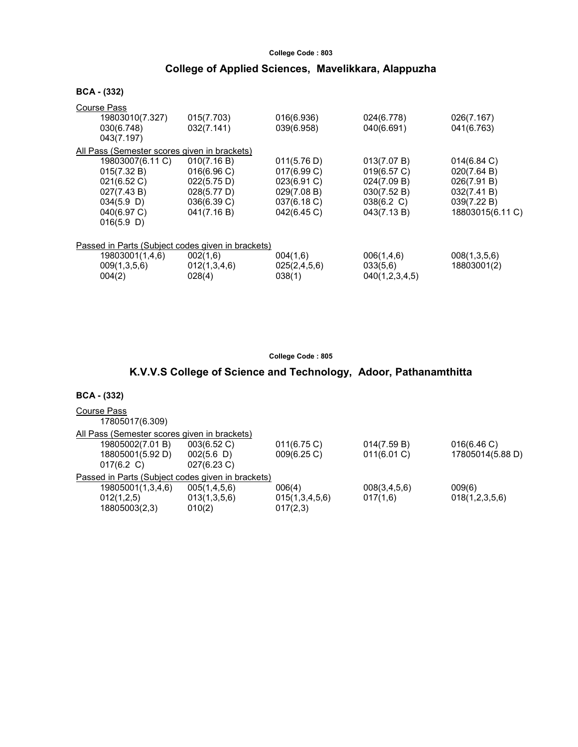# College Code : 803 College of Applied Sciences, Mavelikkara, Alappuzha

| <b>BCA - (332)</b>                                                                                             |                                                                                      |                                                                                        |                                                                                       |                                                                                                |  |
|----------------------------------------------------------------------------------------------------------------|--------------------------------------------------------------------------------------|----------------------------------------------------------------------------------------|---------------------------------------------------------------------------------------|------------------------------------------------------------------------------------------------|--|
| Course Pass<br>19803010(7.327)<br>030(6.748)<br>043(7.197)                                                     | 015(7.703)<br>032(7.141)                                                             | 016(6.936)<br>039(6.958)                                                               | 024(6.778)<br>040(6.691)                                                              | 026(7.167)<br>041(6.763)                                                                       |  |
| All Pass (Semester scores given in brackets)                                                                   |                                                                                      |                                                                                        |                                                                                       |                                                                                                |  |
| 19803007(6.11 C)<br>015(7.32 B)<br>021(6.52 C)<br>027(7.43 B)<br>$034(5.9)$ D)<br>040(6.97 C)<br>$016(5.9)$ D) | 010(7.16 B)<br>016(6.96)<br>022(5.75 D)<br>028(5.77 D)<br>036(6.39 C)<br>041(7.16 B) | 011(5.76 D)<br>017(6.99 C)<br>023(6.91 C)<br>029(7.08 B)<br>037(6.18 C)<br>042(6.45 C) | 013(7.07 B)<br>019(6.57 C)<br>024(7.09 B)<br>030(7.52 B)<br>038(6.2 C)<br>043(7.13 B) | $014(6.84)$ C)<br>020(7.64 B)<br>026(7.91 B)<br>032(7.41 B)<br>039(7.22 B)<br>18803015(6.11 C) |  |
| Passed in Parts (Subject codes given in brackets)                                                              |                                                                                      |                                                                                        |                                                                                       |                                                                                                |  |
| 19803001(1,4,6)<br>009(1,3,5,6)<br>004(2)                                                                      | 002(1,6)<br>012(1,3,4,6)<br>028(4)                                                   | 004(1,6)<br>025(2,4,5,6)<br>038(1)                                                     | 006(1,4,6)<br>033(5,6)<br>040(1,2,3,4,5)                                              | 008(1,3,5,6)<br>18803001(2)                                                                    |  |

College Code : 805

# K.V.V.S College of Science and Technology, Adoor, Pathanamthitta

| Course Pass                                  |                                                   |                |                |                  |
|----------------------------------------------|---------------------------------------------------|----------------|----------------|------------------|
| 17805017(6.309)                              |                                                   |                |                |                  |
| All Pass (Semester scores given in brackets) |                                                   |                |                |                  |
| 19805002(7.01 B)                             | 003(6.52 C)                                       | 011(6.75 C)    | 014(7.59 B)    | 016(6.46)        |
| 18805001(5.92 D)                             | 002(5.6)                                          | 009(6.25 C)    | $011(6.01)$ C) | 17805014(5.88 D) |
| 017(6.2 C)                                   | 027(6.23 C)                                       |                |                |                  |
|                                              | Passed in Parts (Subject codes given in brackets) |                |                |                  |
| 19805001(1,3,4,6)                            | 005(1,4,5,6)                                      | 006(4)         | 008(3,4,5,6)   | 009(6)           |
| 012(1,2,5)                                   | 013(1,3,5,6)                                      | 015(1,3,4,5,6) | 017(1,6)       | 018(1,2,3,5,6)   |
| 18805003(2,3)                                | 010(2)                                            | 017(2,3)       |                |                  |
|                                              |                                                   |                |                |                  |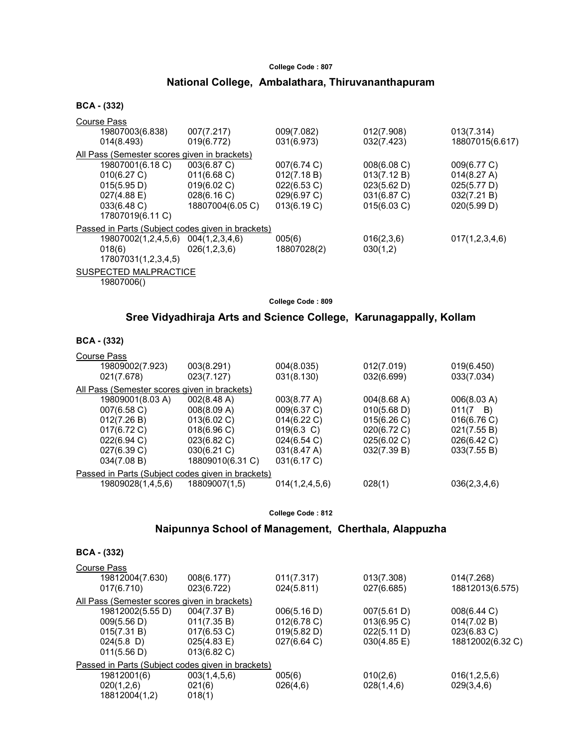## National College, Ambalathara, Thiruvananthapuram

#### BCA - (332)

| Course Pass                                       |                  |             |             |                 |
|---------------------------------------------------|------------------|-------------|-------------|-----------------|
| 19807003(6.838)                                   | 007(7.217)       | 009(7.082)  | 012(7.908)  | 013(7.314)      |
| 014(8.493)                                        | 019(6.772)       | 031(6.973)  | 032(7.423)  | 18807015(6.617) |
| All Pass (Semester scores given in brackets)      |                  |             |             |                 |
| 19807001(6.18 C)                                  | 003(6.87 C)      | 007(6.74 C) | 008(6.08)   | 009(6.77 C)     |
| 010(6.27 C)                                       | 011(6.68 C)      | 012(7.18 B) | 013(7.12 B) | 014(8.27 A)     |
| 015(5.95 D)                                       | 019(6.02 C)      | 022(6.53 C) | 023(5.62 D) | 025(5.77 D)     |
| $027(4.88 \text{ E})$                             | 028(6.16 C)      | 029(6.97 C) | 031(6.87 C) | 032(7.21 B)     |
| 033(6.48 C)                                       | 18807004(6.05 C) | 013(6.19 C) | 015(6.03 C) | 020(5.99 D)     |
| 17807019(6.11 C)                                  |                  |             |             |                 |
| Passed in Parts (Subject codes given in brackets) |                  |             |             |                 |
| 19807002(1,2,4,5,6)                               | 004(1,2,3,4,6)   | 005(6)      | 016(2,3,6)  | 017(1,2,3,4,6)  |
| 018(6)                                            | 026(1,2,3,6)     | 18807028(2) | 030(1,2)    |                 |
| 17807031(1,2,3,4,5)                               |                  |             |             |                 |
| SUSPECTED MALPRACTICE                             |                  |             |             |                 |

19807006()

BCA - (332)

College Code : 809

### Sree Vidyadhiraja Arts and Science College, Karunagappally, Kollam

| <b>BCA - (332)</b>                                |                          |                          |                          |                          |  |
|---------------------------------------------------|--------------------------|--------------------------|--------------------------|--------------------------|--|
| Course Pass<br>19809002(7.923)<br>021(7.678)      | 003(8.291)<br>023(7.127) | 004(8.035)<br>031(8.130) | 012(7.019)<br>032(6.699) | 019(6.450)<br>033(7.034) |  |
| All Pass (Semester scores given in brackets)      |                          |                          |                          |                          |  |
| 19809001(8.03 A)                                  | 002(8.48 A)              | 003(8.77 A)              | 004(8.68 A)              | 006(8.03 A)              |  |
| 007(6.58 C)                                       | 008(8.09 A)              | 009(6.37 C)              | 010(5.68 D)              | $011(7 \quad B)$         |  |
| 012(7.26 B)                                       | 013(6.02 C)              | 014(6.22 C)              | 015(6.26)                | 016(6.76)                |  |
| $017(6.72)$ C)                                    | 018(6.96 C)              | $019(6.3)$ C)            | 020(6.72 C)              | 021(7.55 B)              |  |
| 022(6.94 C)                                       | $023(6.82)$ C)           | 024(6.54 C)              | 025(6.02 C)              | 026(6.42 C)              |  |
| 027(6.39 C)                                       | 030(6.21 C)              | 031(8.47 A)              | 032(7.39 B)              | 033(7.55 B)              |  |
| 034(7.08 B)                                       | 18809010(6.31 C)         | 031(6.17 C)              |                          |                          |  |
| Passed in Parts (Subject codes given in brackets) |                          |                          |                          |                          |  |
| 19809028(1,4,5,6)                                 | 18809007(1,5)            | 014(1,2,4,5,6)           | 028(1)                   | 036(2,3,4,6)             |  |

College Code : 812

#### Naipunnya School of Management, Cherthala, Alappuzha

| <b>Course Pass</b> |                |                                                                                                   |                |                  |  |  |
|--------------------|----------------|---------------------------------------------------------------------------------------------------|----------------|------------------|--|--|
| 19812004(7.630)    | 008(6.177)     | 011(7.317)                                                                                        | 013(7.308)     | 014(7.268)       |  |  |
| 017(6.710)         | 023(6.722)     | 024(5.811)                                                                                        | 027(6.685)     | 18812013(6.575)  |  |  |
|                    |                |                                                                                                   |                |                  |  |  |
| 19812002(5.55 D)   | 004(7.37 B)    | 006(5.16 D)                                                                                       | 007(5.61 D)    | 008(6.44 C)      |  |  |
| 009(5.56 D)        | 011(7.35 B)    | $012(6.78)$ C)                                                                                    | $013(6.95)$ C) | 014(7.02 B)      |  |  |
| 015(7.31 B)        | 017(6.53 C)    | 019(5.82 D)                                                                                       | 022(5.11 D)    | 023(6.83 C)      |  |  |
| $024(5.8)$ D)      | $025(4.83)$ E) | 027(6.64 C)                                                                                       | 030(4.85 E)    | 18812002(6.32 C) |  |  |
| 011(5.56 D)        | $013(6.82)$ C) |                                                                                                   |                |                  |  |  |
|                    |                |                                                                                                   |                |                  |  |  |
| 19812001(6)        | 003(1,4,5,6)   | 005(6)                                                                                            | 010(2,6)       | 016(1,2,5,6)     |  |  |
| 020(1,2,6)         | 021(6)         | 026(4,6)                                                                                          | 028(1,4,6)     | 029(3,4,6)       |  |  |
| 18812004(1,2)      | 018(1)         |                                                                                                   |                |                  |  |  |
|                    |                | All Pass (Semester scores given in brackets)<br>Passed in Parts (Subject codes given in brackets) |                |                  |  |  |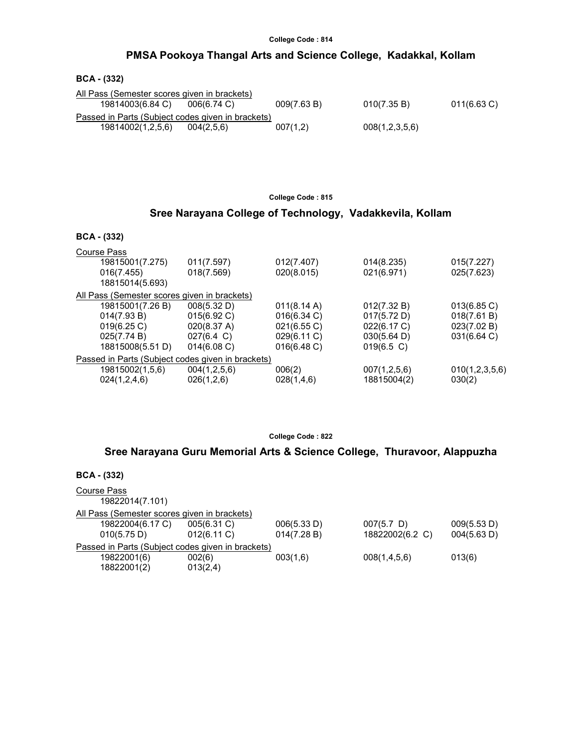### PMSA Pookoya Thangal Arts and Science College, Kadakkal, Kollam

#### BCA - (332)

| All Pass (Semester scores given in brackets)      |                |             |                |                |
|---------------------------------------------------|----------------|-------------|----------------|----------------|
| 19814003(6.84 C)                                  | $006(6.74)$ C) | 009(7.63 B) | 010(7.35 B)    | $011(6.63)$ C) |
| Passed in Parts (Subject codes given in brackets) |                |             |                |                |
| 19814002(1,2,5,6)                                 | 004(2.5.6)     | 007(1,2)    | 008(1,2,3,5,6) |                |

College Code : 815

### Sree Narayana College of Technology, Vadakkevila, Kollam

#### BCA - (332)

| <b>Course Pass</b>                                |                      |                       |                       |                |
|---------------------------------------------------|----------------------|-----------------------|-----------------------|----------------|
| 19815001(7.275)                                   | 011(7.597)           | 012(7.407)            | 014(8.235)            | 015(7.227)     |
| 016(7.455)                                        | 018(7.569)           | 020(8.015)            | 021(6.971)            | 025(7.623)     |
| 18815014(5.693)                                   |                      |                       |                       |                |
| All Pass (Semester scores given in brackets)      |                      |                       |                       |                |
| 19815001(7.26 B)                                  | 008(5.32 D)          | $011(8.14 \text{ A})$ | 012(7.32 B)           | 013(6.85 C)    |
| 014(7.93 B)                                       | 015(6.92 C)          | $016(6.34)$ C)        | 017(5.72 D)           | 018(7.61 B)    |
| 019(6.25)                                         | 020(8.37 A)          | 021(6.55 C)           | 022(6.17 C)           | 023(7.02 B)    |
| 025(7.74 B)                                       | $027(6.4 \text{ C})$ | 029(6.11 C)           | $030(5.64 \text{ D})$ | 031(6.64 C)    |
| 18815008(5.51 D)                                  | 014(6.08 C)          | 016(6.48 C)           | $019(6.5)$ C)         |                |
| Passed in Parts (Subject codes given in brackets) |                      |                       |                       |                |
| 19815002(1,5,6)                                   | 004(1,2,5,6)         | 006(2)                | 007(1,2,5,6)          | 010(1,2,3,5,6) |
| 024(1,2,4,6)                                      | 026(1,2,6)           | 028(1,4,6)            | 18815004(2)           | 030(2)         |
|                                                   |                      |                       |                       |                |

College Code : 822

### Sree Narayana Guru Memorial Arts & Science College, Thuravoor, Alappuzha

| $BCA - (332)$                                     |                               |                            |                                  |                            |
|---------------------------------------------------|-------------------------------|----------------------------|----------------------------------|----------------------------|
| Course Pass<br>19822014(7.101)                    |                               |                            |                                  |                            |
| All Pass (Semester scores given in brackets)      |                               |                            |                                  |                            |
| 19822004(6.17 C)<br>010(5.75 D)                   | 005(6.31 C)<br>$012(6.11)$ C) | 006(5.33 D)<br>014(7.28 B) | $007(5.7)$ D)<br>18822002(6.2 C) | 009(5.53 D)<br>004(5.63 D) |
| Passed in Parts (Subject codes given in brackets) |                               |                            |                                  |                            |
| 19822001(6)<br>18822001(2)                        | 002(6)<br>013(2,4)            | 003(1,6)                   | 008(1,4,5,6)                     | 013(6)                     |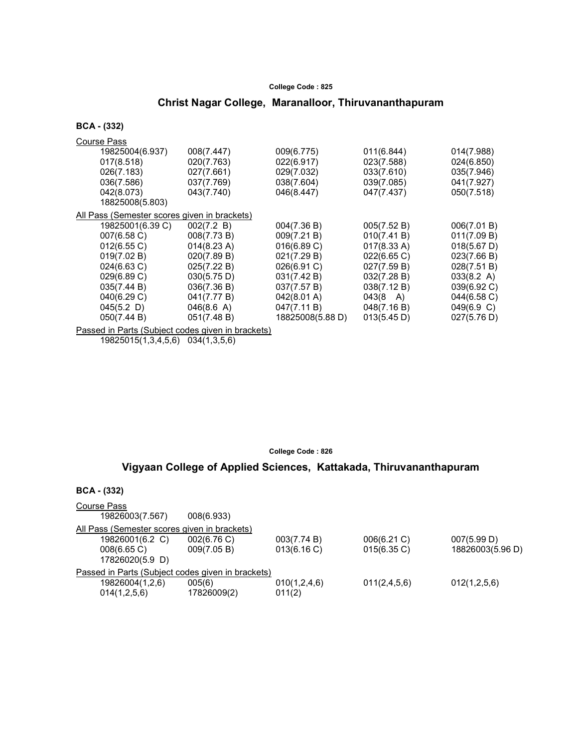# Christ Nagar College, Maranalloor, Thiruvananthapuram

BCA - (332)

| <b>Course Pass</b>                                |             |                  |                    |                      |
|---------------------------------------------------|-------------|------------------|--------------------|----------------------|
| 19825004(6.937)                                   | 008(7.447)  | 009(6.775)       | 011(6.844)         | 014(7.988)           |
| 017(8.518)                                        | 020(7.763)  | 022(6.917)       | 023(7.588)         | 024(6.850)           |
| 026(7.183)                                        | 027(7.661)  | 029(7.032)       | 033(7.610)         | 035(7.946)           |
| 036(7.586)                                        | 037(7.769)  | 038(7.604)       | 039(7.085)         | 041(7.927)           |
| 042(8.073)                                        | 043(7.740)  | 046(8.447)       | 047(7.437)         | 050(7.518)           |
| 18825008(5.803)                                   |             |                  |                    |                      |
| All Pass (Semester scores given in brackets)      |             |                  |                    |                      |
| 19825001(6.39 C)                                  | 002(7.2 B)  | 004(7.36 B)      | 005(7.52 B)        | 006(7.01 B)          |
| 007(6.58 C)                                       | 008(7.73 B) | 009(7.21 B)      | 010(7.41 B)        | 011(7.09 B)          |
| 012(6.55 C)                                       | 014(8.23 A) | 016(6.89 C)      | 017(8.33 A)        | 018(5.67 D)          |
| 019(7.02 B)                                       | 020(7.89 B) | 021(7.29 B)      | 022(6.65 C)        | 023(7.66 B)          |
| $024(6.63 \text{ C})$                             | 025(7.22 B) | 026(6.91 C)      | 027(7.59 B)        | 028(7.51 B)          |
| 029(6.89 C)                                       | 030(5.75 D) | 031(7.42 B)      | 032(7.28 B)        | $033(8.2 \text{ A})$ |
| 035(7.44 B)                                       | 036(7.36 B) | 037(7.57 B)      | 038(7.12 B)        | 039(6.92 C)          |
| 040(6.29 C)                                       | 041(7.77 B) | 042(8.01 A)      | $043(8 \text{ A})$ | 044(6.58 C)          |
| $045(5.2)$ D)                                     | 046(8.6 A)  | 047(7.11 B)      | 048(7.16 B)        | 049(6.9 C)           |
| 050(7.44 B)                                       | 051(7.48 B) | 18825008(5.88 D) | 013(5.45 D)        | 027(5.76 D)          |
| Passed in Parts (Subject codes given in brackets) |             |                  |                    |                      |

19825015(1,3,4,5,6) 034(1,3,5,6)

#### College Code : 826

### Vigyaan College of Applied Sciences, Kattakada, Thiruvananthapuram

| <b>BCA</b> - (332)                                |             |              |                |                  |  |
|---------------------------------------------------|-------------|--------------|----------------|------------------|--|
| Course Pass<br>19826003(7.567)                    | 008(6.933)  |              |                |                  |  |
| All Pass (Semester scores given in brackets)      |             |              |                |                  |  |
| 19826001(6.2 C)                                   | 002(6.76)   | 003(7.74 B)  | 006(6.21 C)    | 007(5.99 D)      |  |
| 008(6.65 C)                                       | 009(7.05 B) | 013(6.16 C)  | $015(6.35)$ C) | 18826003(5.96 D) |  |
| 17826020(5.9 D)                                   |             |              |                |                  |  |
| Passed in Parts (Subject codes given in brackets) |             |              |                |                  |  |
| 19826004(1,2,6)                                   | 005(6)      | 010(1,2,4,6) | 011(2,4,5,6)   | 012(1,2,5,6)     |  |
| 014(1,2,5,6)                                      | 17826009(2) | 011(2)       |                |                  |  |
|                                                   |             |              |                |                  |  |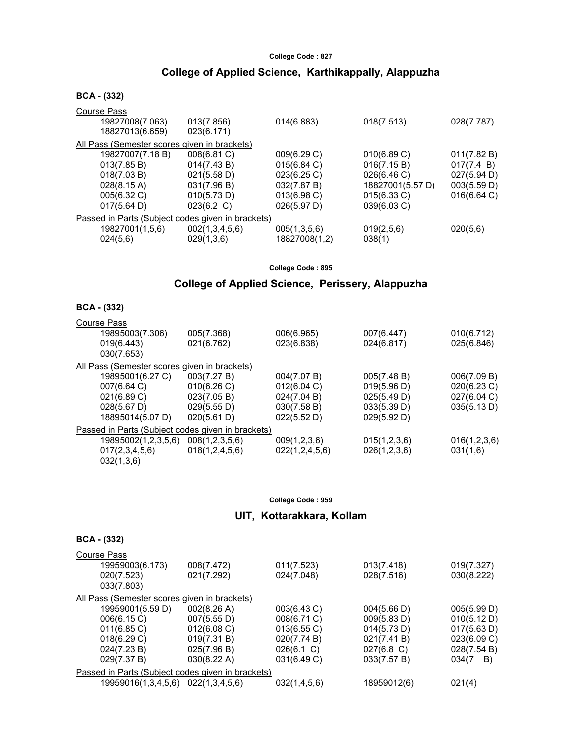### College of Applied Science, Karthikappally, Alappuzha

#### BCA - (332)

| <b>Course Pass</b>                                |                |                |                  |             |
|---------------------------------------------------|----------------|----------------|------------------|-------------|
| 19827008(7.063)                                   | 013(7.856)     | 014(6.883)     | 018(7.513)       | 028(7.787)  |
| 18827013(6.659)                                   | 023(6.171)     |                |                  |             |
| All Pass (Semester scores given in brackets)      |                |                |                  |             |
| 19827007(7.18B)                                   | 008(6.81 C)    | 009(6.29 C)    | 010(6.89 C)      | 011(7.82 B) |
| 013(7.85 B)                                       | 014(7.43 B)    | 015(6.84 C)    | 016(7.15 B)      | 017(7.4 B)  |
| 018(7.03 B)                                       | 021(5.58 D)    | 023(6.25 C)    | 026(6.46 C)      | 027(5.94 D) |
| $028(8.15 \text{ A})$                             | 031(7.96 B)    | 032(7.87 B)    | 18827001(5.57 D) | 003(5.59 D) |
| 005(6.32 C)                                       | 010(5.73 D)    | $013(6.98)$ C) | 015(6.33 C)      | 016(6.64)   |
| 017(5.64 D)                                       | 023(6.2 C)     | 026(5.97 D)    | 039(6.03 C)      |             |
| Passed in Parts (Subject codes given in brackets) |                |                |                  |             |
| 19827001(1,5,6)                                   | 002(1,3,4,5,6) | 005(1,3,5,6)   | 019(2,5,6)       | 020(5,6)    |
| 024(5,6)                                          | 029(1,3,6)     | 18827008(1,2)  | 038(1)           |             |
|                                                   |                |                |                  |             |

College Code : 895

## College of Applied Science, Perissery, Alappuzha

#### BCA - (332)

| <b>Course Pass</b>                           |                                                   |                |              |              |
|----------------------------------------------|---------------------------------------------------|----------------|--------------|--------------|
| 19895003(7.306)                              | 005(7.368)                                        | 006(6.965)     | 007(6.447)   | 010(6.712)   |
| 019(6.443)                                   | 021(6.762)                                        | 023(6.838)     | 024(6.817)   | 025(6.846)   |
| 030(7.653)                                   |                                                   |                |              |              |
| All Pass (Semester scores given in brackets) |                                                   |                |              |              |
| 19895001(6.27 C)                             | 003(7.27 B)                                       | 004(7.07 B)    | 005(7.48 B)  | 006(7.09 B)  |
| 007(6.64 C)                                  | 010(6.26)                                         | 012(6.04 C)    | 019(5.96 D)  | 020(6.23 C)  |
| 021(6.89 C)                                  | 023(7.05 B)                                       | 024(7.04 B)    | 025(5.49 D)  | 027(6.04 C)  |
| $028(5.67 \text{ D})$                        | 029(5.55 D)                                       | 030(7.58 B)    | 033(5.39 D)  | 035(5.13 D)  |
| 18895014(5.07 D)                             | 020(5.61 D)                                       | 022(5.52 D)    | 029(5.92 D)  |              |
|                                              | Passed in Parts (Subject codes given in brackets) |                |              |              |
| 19895002(1,2,3,5,6)                          | 008(1,2,3,5,6)                                    | 009(1,2,3,6)   | 015(1,2,3,6) | 016(1,2,3,6) |
| 017(2,3,4,5,6)                               | 018(1,2,4,5,6)                                    | 022(1,2,4,5,6) | 026(1,2,3,6) | 031(1,6)     |
| 032(1,3,6)                                   |                                                   |                |              |              |

#### College Code : 959

### UIT, Kottarakkara, Kollam

| Course Pass                                       |             |               |               |             |
|---------------------------------------------------|-------------|---------------|---------------|-------------|
| 19959003(6.173)                                   | 008(7.472)  | 011(7.523)    | 013(7.418)    | 019(7.327)  |
| 020(7.523)                                        | 021(7.292)  | 024(7.048)    | 028(7.516)    | 030(8.222)  |
| 033(7.803)                                        |             |               |               |             |
| All Pass (Semester scores given in brackets)      |             |               |               |             |
| 19959001(5.59 D)                                  | 002(8.26 A) | 003(6.43 C)   | 004(5.66 D)   | 005(5.99 D) |
| 006(6.15 C)                                       | 007(5.55 D) | 008(6.71 C)   | 009(5.83 D)   | 010(5.12 D) |
| $011(6.85)$ C)                                    | 012(6.08)   | 013(6.55 C)   | 014(5.73 D)   | 017(5.63 D) |
| 018(6.29 C)                                       | 019(7.31 B) | 020(7.74 B)   | 021(7.41 B)   | 023(6.09 C) |
| 024(7.23 B)                                       | 025(7.96 B) | $026(6.1)$ C) | $027(6.8)$ C) | 028(7.54 B) |
| 029(7.37 B)                                       | 030(8.22 A) | 031(6.49 C)   | 033(7.57 B)   | 034(7<br>B) |
| Passed in Parts (Subject codes given in brackets) |             |               |               |             |
| 19959016(1,3,4,5,6) 022(1,3,4,5,6)                |             | 032(1,4,5,6)  | 18959012(6)   | 021(4)      |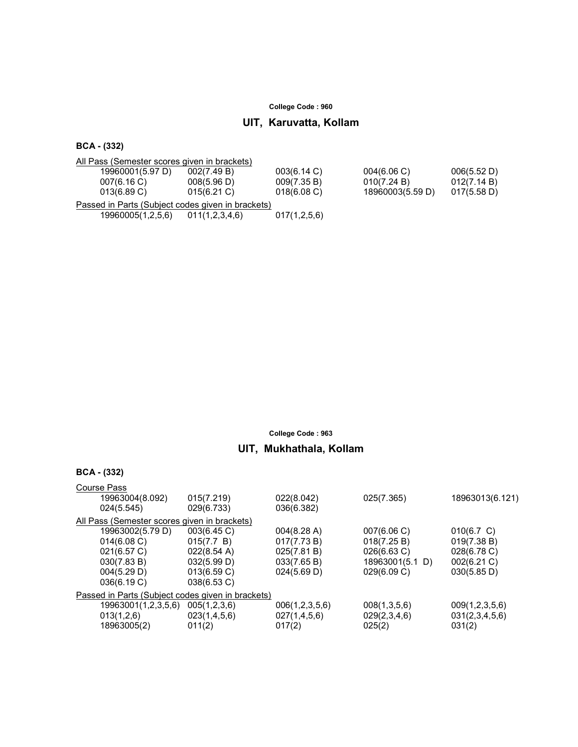# UIT, Karuvatta, Kollam

BCA - (332)

| All Pass (Semester scores given in brackets)      |                |              |                  |             |  |
|---------------------------------------------------|----------------|--------------|------------------|-------------|--|
| 19960001(5.97 D)                                  | 002(7.49 B)    | 003(6.14 C)  | 004(6.06)        | 006(5.52 D) |  |
| 007(6.16 C)                                       | 008(5.96 D)    | 009(7.35 B)  | 010(7.24 B)      | 012(7.14 B) |  |
| $013(6.89)$ C)                                    | 015(6.21)      | 018(6.08)    | 18960003(5.59 D) | 017(5.58 D) |  |
| Passed in Parts (Subject codes given in brackets) |                |              |                  |             |  |
| 19960005(1,2,5,6)                                 | 011(1,2,3,4,6) | 017(1,2,5,6) |                  |             |  |

College Code : 963

# UIT, Mukhathala, Kollam

| BCA | (332) |
|-----|-------|
|-----|-------|

| <b>Course Pass</b>                                |                     |                       |                       |                 |                 |
|---------------------------------------------------|---------------------|-----------------------|-----------------------|-----------------|-----------------|
| 19963004(8.092)                                   |                     | 015(7.219)            | 022(8.042)            | 025(7.365)      | 18963013(6.121) |
| 024(5.545)                                        |                     | 029(6.733)            | 036(6.382)            |                 |                 |
| All Pass (Semester scores given in brackets)      |                     |                       |                       |                 |                 |
| 19963002(5.79 D)                                  |                     | 003(6.45 C)           | $004(8.28 \text{ A})$ | 007(6.06 C)     | 010(6.7 C)      |
| 014(6.08 C)                                       |                     | 015(7.7 B)            | 017(7.73 B)           | 018(7.25 B)     | 019(7.38 B)     |
| 021(6.57 C)                                       |                     | $022(8.54 \text{ A})$ | 025(7.81 B)           | 026(6.63 C)     | 028(6.78 C)     |
| 030(7.83 B)                                       |                     | 032(5.99 D)           | 033(7.65 B)           | 18963001(5.1 D) | 002(6.21 C)     |
| 004(5.29 D)                                       |                     | 013(6.59 C)           | 024(5.69 D)           | 029(6.09 C)     | 030(5.85 D)     |
| 036(6.19 C)                                       |                     | 038(6.53 C)           |                       |                 |                 |
| Passed in Parts (Subject codes given in brackets) |                     |                       |                       |                 |                 |
|                                                   | 19963001(1,2,3,5,6) | 005(1,2,3,6)          | 006(1,2,3,5,6)        | 008(1,3,5,6)    | 009(1,2,3,5,6)  |
| 013(1,2,6)                                        |                     | 023(1,4,5,6)          | 027(1,4,5,6)          | 029(2,3,4,6)    | 031(2,3,4,5,6)  |
| 18963005(2)                                       |                     | 011(2)                | 017(2)                | 025(2)          | 031(2)          |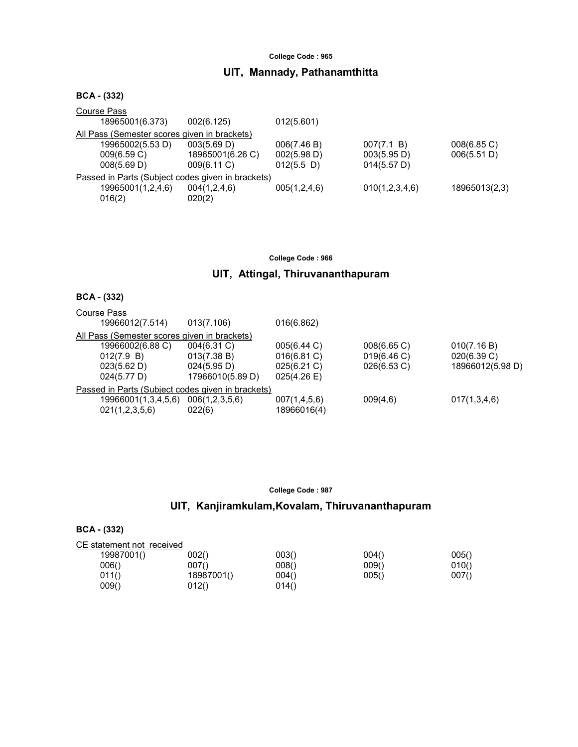# UIT, Mannady, Pathanamthitta

| 002(6.125)                                        | 012(5.601)                                  |                                          |                            |
|---------------------------------------------------|---------------------------------------------|------------------------------------------|----------------------------|
| All Pass (Semester scores given in brackets)      |                                             |                                          |                            |
| 003(5.69 D)<br>18965001(6.26 C)<br>009(6.11 C)    | 006(7.46 B)<br>002(5.98 D)<br>$012(5.5)$ D) | 007(7.1 B)<br>003(5.95 D)<br>014(5.57 D) | 008(6.85 C)<br>006(5.51 D) |
| Passed in Parts (Subject codes given in brackets) |                                             |                                          |                            |
| 004(1,2,4,6)<br>020(2)                            | 005(1,2,4,6)                                | 010(1,2,3,4,6)                           | 18965013(2,3)              |
|                                                   |                                             |                                          |                            |

College Code : 966

# UIT, Attingal, Thiruvananthapuram

### BCA - (332)

| <b>Course Pass</b>                                |                  |                |                |                  |
|---------------------------------------------------|------------------|----------------|----------------|------------------|
| 19966012(7.514)                                   | 013(7.106)       | 016(6.862)     |                |                  |
| All Pass (Semester scores given in brackets)      |                  |                |                |                  |
| 19966002(6.88 C)                                  | $004(6.31)$ C)   | 005(6.44 C)    | $008(6.65)$ C) | 010(7.16 B)      |
| 012(7.9 B)                                        | 013(7.38 B)      | 016(6.81 C)    | 019(6.46 C)    | 020(6.39 C)      |
| 023(5.62 D)                                       | 024(5.95 D)      | $025(6.21)$ C) | 026(6.53 C)    | 18966012(5.98 D) |
| 024(5.77 D)                                       | 17966010(5.89 D) | 025(4.26)      |                |                  |
| Passed in Parts (Subject codes given in brackets) |                  |                |                |                  |
| 19966001(1,3,4,5,6)                               | 006(1,2,3,5,6)   | 007(1,4,5,6)   | 009(4,6)       | 017(1,3,4,6)     |
| 021(1,2,3,5,6)                                    | 022(6)           | 18966016(4)    |                |                  |
|                                                   |                  |                |                |                  |

| College Code: 987 |  |  |  |
|-------------------|--|--|--|
|-------------------|--|--|--|

# UIT, Kanjiramkulam,Kovalam, Thiruvananthapuram

| CE statement not received |            |       |       |       |
|---------------------------|------------|-------|-------|-------|
| 19987001()                | 002()      | 003() | 004() | 005() |
| 006()                     | 007()      | 008() | 009() | 010() |
| 011()                     | 18987001() | 004() | 005() | 007() |
| 009()                     | 012()      | 014() |       |       |
|                           |            |       |       |       |